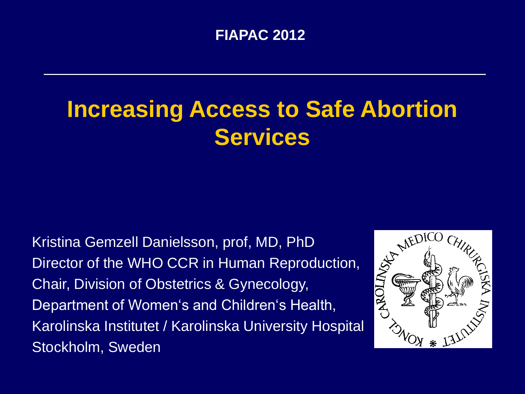#### **FIAPAC 2012**

# **Increasing Access to Safe Abortion Services**

Kristina Gemzell Danielsson, prof, MD, PhD Kristina Gemzell Danielsson, prof, MD, PhD<br>Director of the WHO CCR in Human Reproduction,<br>Chair, Division of Obstetrics & Gynecology,<br>Department of Women's and Children's Health, Chair, Division of Obstetrics & Gynecology, Department of Women's and Children's Health, Karolinska Institutet / Karolinska University Hospital Stockholm, Sweden

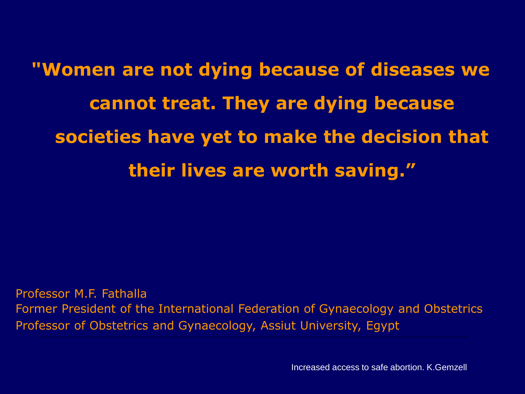**"Women are not dying because of diseases we cannot treat. They are dying because societies have yet to make the decision that their lives are worth saving."**

Professor M.F. Fathalla Former President of the International Federation of Gynaecology and Obstetrics Professor of Obstetrics and Gynaecology, Assiut University, Egypt

Increased access to safe abortion. K.Gemzell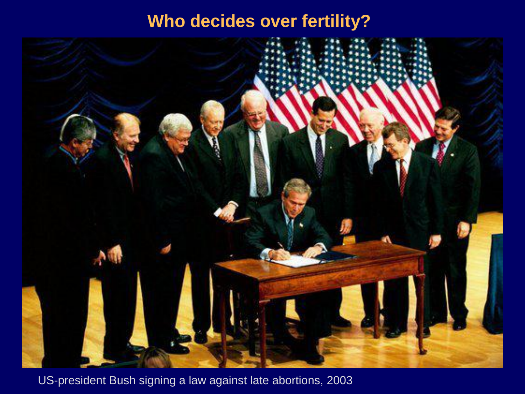#### **Who decides over fertility?**



US-president Bush signing a law against late abortions, 2003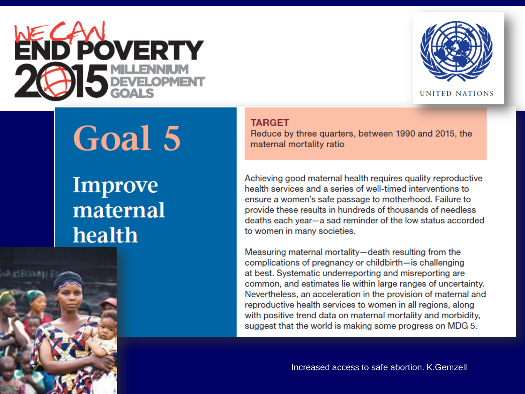



UNITED NATIONS

# Goal 5

### **Improve** maternal health

**TARGET** 

Reduce by three quarters, between 1990 and 2015, the maternal mortality ratio

Achieving good maternal health requires quality reproductive health services and a series of well-timed interventions to ensure a women's safe passage to motherhood. Failure to provide these results in hundreds of thousands of needless deaths each year-a sad reminder of the low status accorded to women in many societies.

Measuring maternal mortality-death resulting from the complications of pregnancy or childbirth-is challenging at best. Systematic underreporting and misreporting are common, and estimates lie within large ranges of uncertainty. Nevertheless, an acceleration in the provision of maternal and reproductive health services to women in all regions, along with positive trend data on maternal mortality and morbidity, suggest that the world is making some progress on MDG 5.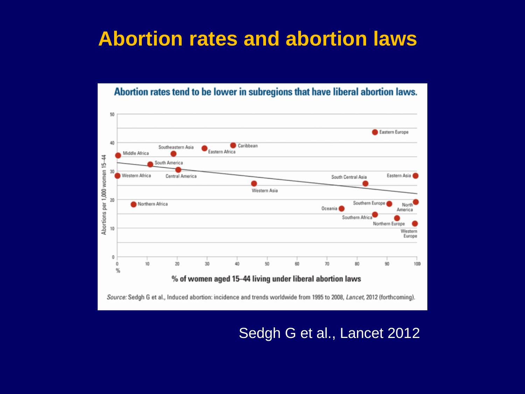#### **Abortion rates and abortion laws**

Abortion rates tend to be lower in subregions that have liberal abortion laws.

50 Eastern Europe 40 Caribbean Southeastern Asia Eastern Africa Middle Africa Abortions per 1,000 women 15-44 South America 30 Western Africa Eastern Asia Central America South Central Asia Western Asia 20 Southern Europe Northern Africa North Oceania **Ca** America Southern Africa Northern Europe  $10$ Western Europe  $\mathbf 0$  $50$  $10$ 20  $30$ 40 60 70 80  $90$  $\bf{0}$ 100  $\frac{96}{6}$ % of women aged 15-44 living under liberal abortion laws

Source: Sedgh G et al., Induced abortion: incidence and trends worldwide from 1995 to 2008, Lancet, 2012 (forthcoming).

Sedgh G et al., Lancet 2012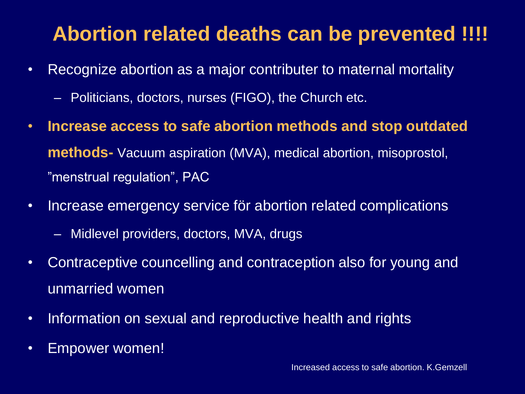#### **Abortion related deaths can be prevented !!!!**

- Recognize abortion as a major contributer to maternal mortality
	- Politicians, doctors, nurses (FIGO), the Church etc.
- **Increase access to safe abortion methods and stop outdated methods-** Vacuum aspiration (MVA), medical abortion, misoprostol, "menstrual regulation", PAC
- Increase emergency service för abortion related complications
	- Midlevel providers, doctors, MVA, drugs
- Contraceptive councelling and contraception also for young and unmarried women
- Information on sexual and reproductive health and rights
- Empower women!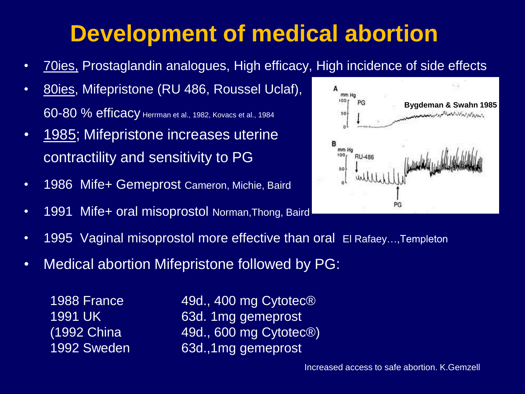# **Development of medical abortion**

- 70ies, Prostaglandin analogues, High efficacy, High incidence of side effects
- 80ies, Mifepristone (RU 486, Roussel Uclaf), 60-80 % efficacy Herrman et al., 1982, Kovacs et al., 1984
- 1985; Mifepristone increases uterine contractility and sensitivity to PG
- 1986 Mife+ Gemeprost Cameron, Michie, Baird
- 1991 Mife+ oral misoprostol Norman, Thong, Baird



- 1995 Vaginal misoprostol more effective than oral El Rafaey...,Templeton
- Medical abortion Mifepristone followed by PG:

1988 France 49d., 400 mg Cytotec® 1991 UK 63d. 1mg gemeprost  $(1992 \text{ China} 49d., 600 \text{ mg Cytotec®})$ 1992 Sweden 63d.,1mg gemeprost

Increased access to safe abortion. K.Gemzell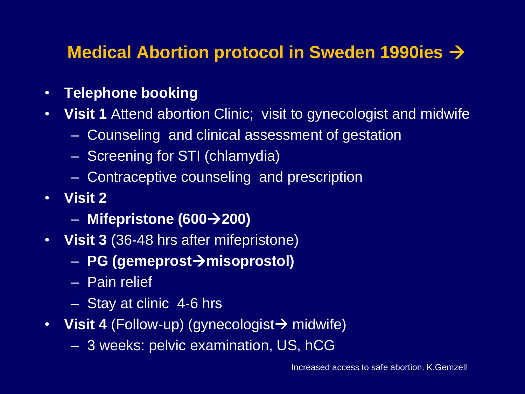#### **Medical Abortion protocol in Sweden 1990ies**

- **Telephone booking**
- **Visit 1** Attend abortion Clinic; visit to gynecologist and midwife
	- Counseling and clinical assessment of gestation
	- Screening for STI (chlamydia)
	- Contraceptive counseling and prescription
- **Visit 2** 
	- **Mifepristone (600200)**
- **Visit 3** (36-48 hrs after mifepristone)
	- **PG (gemeprostmisoprostol)**
	- Pain relief
	- Stay at clinic 4-6 hrs
- Visit 4 (Follow-up) (gynecologist  $\rightarrow$  midwife)
	- 3 weeks: pelvic examination, US, hCG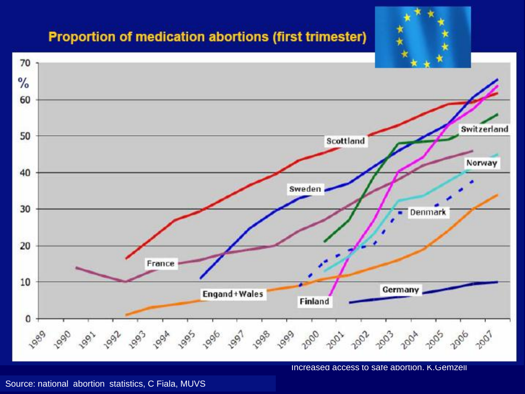#### **Proportion of medication abortions (first trimester)**



Increased access to safe abortion. K.Gemzell

Source: national abortion statistics, C Fiala, MUVS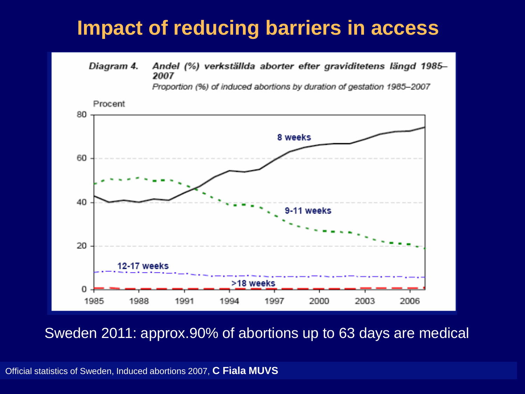#### **Impact of reducing barriers in access**

Diagram 4. Andel (%) verkställda aborter efter graviditetens längd 1985-2007

Proportion (%) of induced abortions by duration of gestation 1985-2007



Sweden 2011: approx.90% of abortions up to 63 days are medical

Official statistics of Sweden, Induced abortions 2007, **C Fiala MUVS**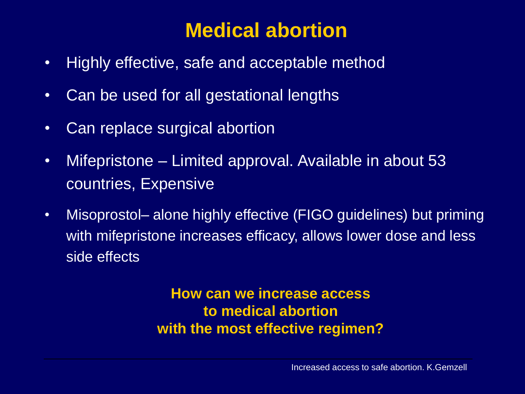#### **Medical abortion**

- Highly effective, safe and acceptable method
- Can be used for all gestational lengths
- Can replace surgical abortion
- Mifepristone Limited approval. Available in about 53 countries, Expensive
- Misoprostol– alone highly effective (FIGO guidelines) but priming with mifepristone increases efficacy, allows lower dose and less side effects

**How can we increase access to medical abortion with the most effective regimen?**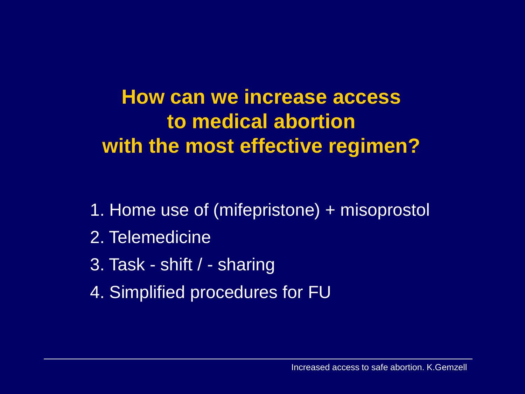**How can we increase access to medical abortion with the most effective regimen?** 

- 1. Home use of (mifepristone) + misoprostol
- 2. Telemedicine
- 3. Task shift / sharing
- 4. Simplified procedures for FU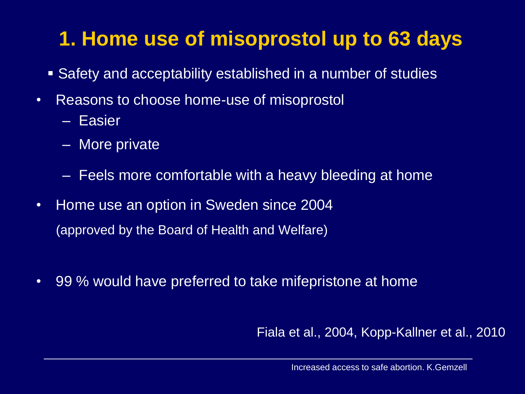### **1. Home use of misoprostol up to 63 days**

- Safety and acceptability established in a number of studies
- Reasons to choose home-use of misoprostol
	- Easier
	- More private
	- Feels more comfortable with a heavy bleeding at home
- Home use an option in Sweden since 2004 (approved by the Board of Health and Welfare)
- 99 % would have preferred to take mifepristone at home

Fiala et al., 2004, Kopp-Kallner et al., 2010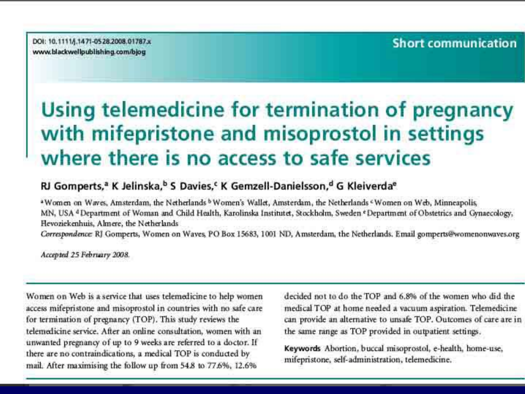DOI: 10.1111/j.1471-0528.2008.01787.x www.blackwellpublishing.com/bjog

#### **Short communication**

#### Using telemedicine for termination of pregnancy with mifepristone and misoprostol in settings where there is no access to safe services

#### RJ Gomperts,<sup>a</sup> K Jelinska,<sup>b</sup> S Davies,<sup>c</sup> K Gemzell-Danielsson,<sup>d</sup> G Kleiverda<sup>e</sup>

<sup>a</sup> Women on Waves, Amsterdam, the Netherlands <sup>b</sup> Women's Wallet, Amsterdam, the Netherlands <sup>c</sup> Women on Web, Minneapolis, MN, USA <sup>a</sup> Department of Woman and Child Health, Karolinska Institutet, Stockholm, Sweden <sup>e</sup> Department of Obstetrics and Gynaecology, Hevoziekenhuis, Almere, the Netherlands Correspondence: RJ Gomperts, Women on Waves, PO Box 15683, 1001 ND, Amsterdam, the Netherlands. Email gomperts@womenonwaves.org

Accepted 25 February 2008.

Women on Web is a service that uses telemedicine to help women access mifepristone and misoprostol in countries with no safe care for termination of pregnancy (TOP). This study reviews the telemedicine service. After an online consultation, women with an unwanted pregnancy of up to 9 weeks are referred to a doctor. If there are no contraindications, a medical TOP is conducted by mail. After maximising the follow up from 54.8 to 77.6%, 12.6%

decided not to do the TOP and 6.8% of the women who did the medical TOP at home needed a vacuum aspiration. Telemedicine can provide an alternative to unsafe TOP. Outcomes of care are in the same range as TOP provided in outpatient settings.

Keywords Abortion, buccal misoprostol, e-health, home-use, mifepristone, self-administration, telemedicine.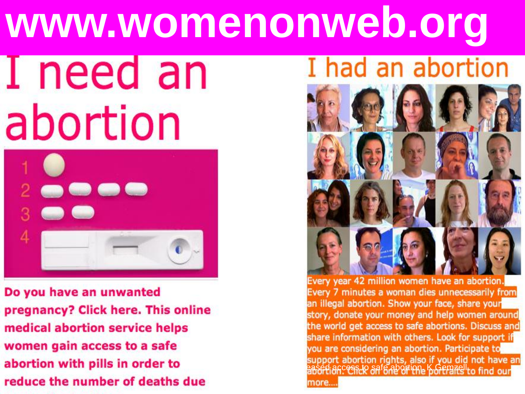# **www.womenonweb.org** I had an abortion I need an



Do you have an unwanted pregnancy? Click here. This online medical abortion service helps women gain access to a safe abortion with pills in order to reduce the number of deaths due



Every year 42 million women have an abortion. Every 7 minutes a woman dies unnecessarily from an illegal abortion. Show your face, share your story, donate your money and help women around the world get access to safe abortions. Discuss and share information with others. Look for support if you are considering an abortion. Participate to support abortion rights, also if you did not have an<br>aasord*io*n: essex aafg.abortione b.Gemats to find our more...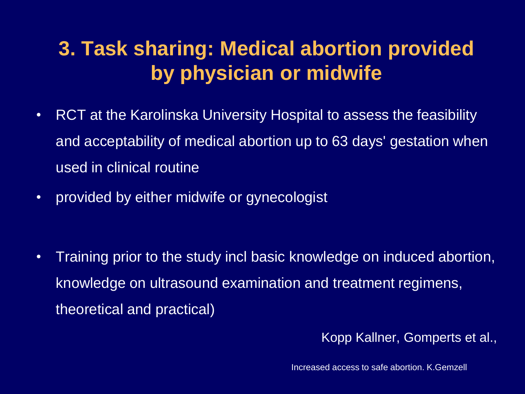#### **3. Task sharing: Medical abortion provided by physician or midwife**

- RCT at the Karolinska University Hospital to assess the feasibility and acceptability of medical abortion up to 63 days' gestation when used in clinical routine
- provided by either midwife or gynecologist

• Training prior to the study incl basic knowledge on induced abortion, knowledge on ultrasound examination and treatment regimens, theoretical and practical)

Kopp Kallner, Gomperts et al.,

Increased access to safe abortion. K.Gemzell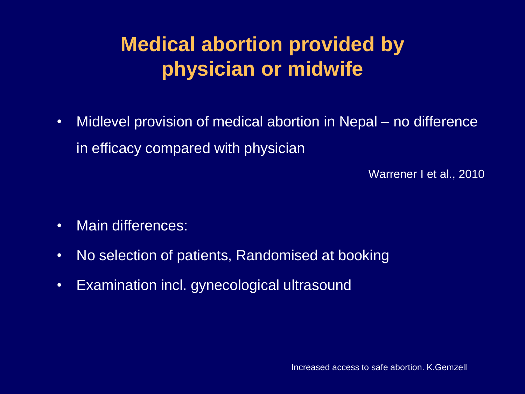### **Medical abortion provided by physician or midwife**

• Midlevel provision of medical abortion in Nepal – no difference in efficacy compared with physician

Warrener I et al., 2010

- Main differences:
- No selection of patients, Randomised at booking
- Examination incl. gynecological ultrasound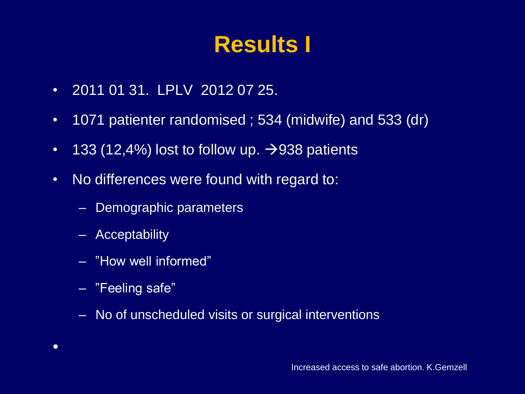# **Results I**

- 2011 01 31. LPLV 2012 07 25.
- 1071 patienter randomised ; 534 (midwife) and 533 (dr)
- 133 (12,4%) lost to follow up.  $\rightarrow$ 938 patients
- No differences were found with regard to:
	- Demographic parameters
	- Acceptability
	- "How well informed"
	- "Feeling safe"
	- No of unscheduled visits or surgical interventions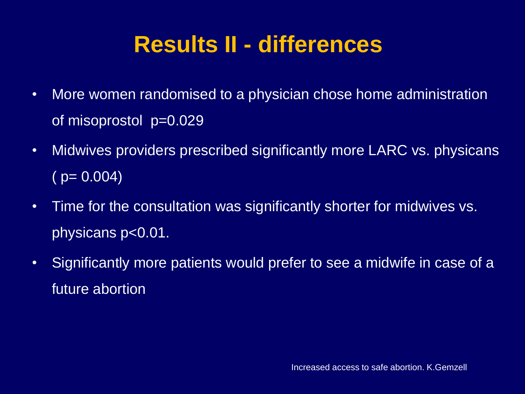# **Results II - differences**

- More women randomised to a physician chose home administration of misoprostol p=0.029
- Midwives providers prescribed significantly more LARC vs. physicans  $(p = 0.004)$
- Time for the consultation was significantly shorter for midwives vs. physicans p<0.01.
- Significantly more patients would prefer to see a midwife in case of a future abortion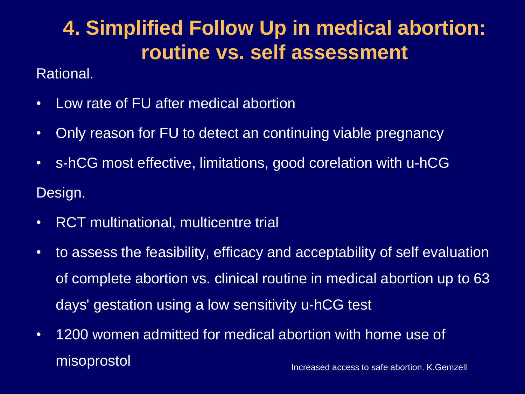#### **4. Simplified Follow Up in medical abortion: routine vs. self assessment**

#### Rational.

- Low rate of FU after medical abortion
- Only reason for FU to detect an continuing viable pregnancy
- s-hCG most effective, limitations, good corelation with u-hCG Design.
- RCT multinational, multicentre trial
- to assess the feasibility, efficacy and acceptability of self evaluation of complete abortion vs. clinical routine in medical abortion up to 63 days' gestation using a low sensitivity u-hCG test
- Increased access to safe abortion. K.Gemzell • 1200 women admitted for medical abortion with home use of misoprostol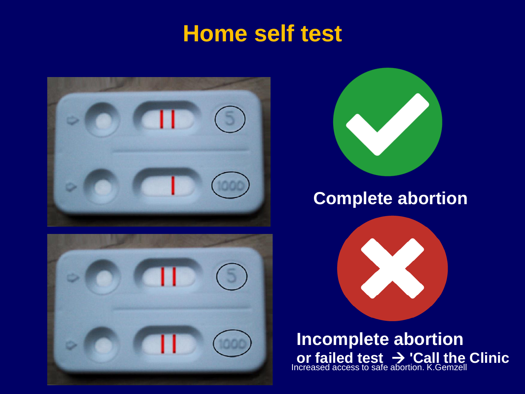### **Home self test**







#### **Complete abortion**

**Incomplete abortion or failed test 'Call the Clinic** Increased access to safe abortion. K.Gemzell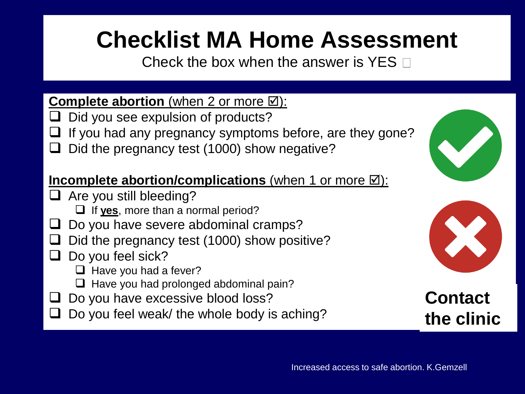# **Checklist MA Home Assessment**

Check the box when the answer is YES  $\Box$ 

#### **Complete abortion** (when 2 or more ⊠):

- $\Box$  Did you see expulsion of products?
- If you had any pregnancy symptoms before, are they gone?
- Did the pregnancy test (1000) show negative?

#### **Incomplete abortion/complications** (when 1 or more  $\boxtimes$ ):

- $\Box$  Are you still bleeding?
	- □ If yes, more than a normal period?
- Do you have severe abdominal cramps?
- Did the pregnancy test (1000) show positive?
- $\Box$  Do you feel sick?
	- $\Box$  Have you had a fever?
	- $\Box$  Have you had prolonged abdominal pain?
- Do you have excessive blood loss?
- Do you feel weak/ the whole body is aching?





**Contact the clinic**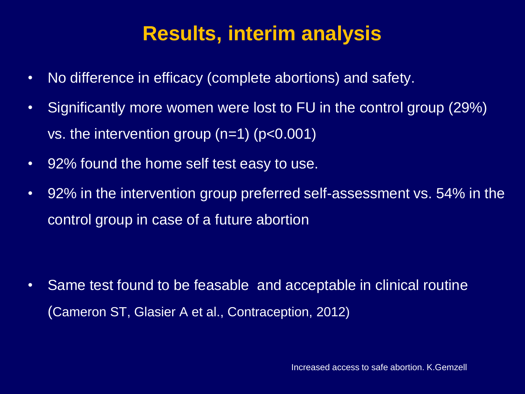#### **Results, interim analysis**

- No difference in efficacy (complete abortions) and safety.
- Significantly more women were lost to FU in the control group (29%) vs. the intervention group (n=1) (p<0.001)
- 92% found the home self test easy to use.
- 92% in the intervention group preferred self-assessment vs. 54% in the control group in case of a future abortion

• Same test found to be feasable and acceptable in clinical routine (Cameron ST, Glasier A et al., Contraception, 2012)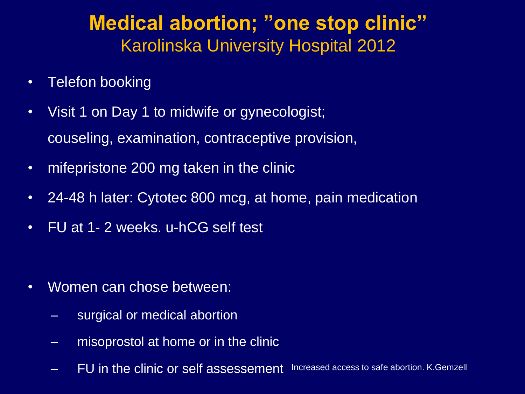#### **Medical abortion; "one stop clinic"** Karolinska University Hospital 2012

- Telefon booking
- Visit 1 on Day 1 to midwife or gynecologist; couseling, examination, contraceptive provision,
- mifepristone 200 mg taken in the clinic
- 24-48 h later: Cytotec 800 mcg, at home, pain medication
- FU at 1- 2 weeks. u-hCG self test

- Women can chose between:
	- surgical or medical abortion
	- misoprostol at home or in the clinic
	- FU in the clinic or self assessement Increased access to safe abortion. K.Gemzell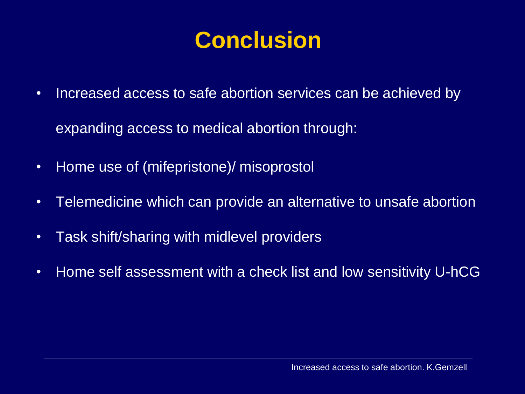# **Conclusion**

- Increased access to safe abortion services can be achieved by expanding access to medical abortion through:
- Home use of (mifepristone)/ misoprostol
- Telemedicine which can provide an alternative to unsafe abortion
- Task shift/sharing with midlevel providers
- Home self assessment with a check list and low sensitivity U-hCG